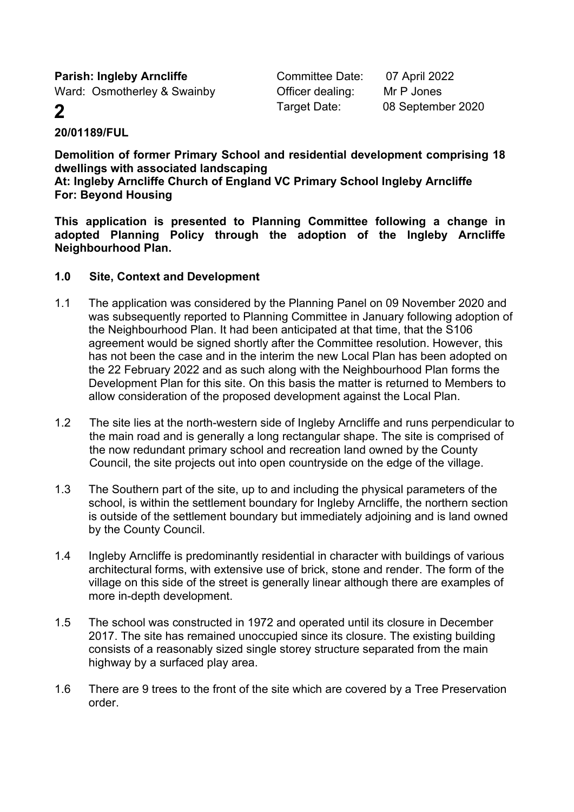**Parish: Ingleby Arncliffe** Committee Date: 07 April 2022 Ward: Osmotherley & Swainby **Officer dealing:** Mr P Jones

**2** Target Date: 08 September 2020

# **20/01189/FUL**

**Demolition of former Primary School and residential development comprising 18 dwellings with associated landscaping**

**At: Ingleby Arncliffe Church of England VC Primary School Ingleby Arncliffe For: Beyond Housing**

**This application is presented to Planning Committee following a change in adopted Planning Policy through the adoption of the Ingleby Arncliffe Neighbourhood Plan.**

### **1.0 Site, Context and Development**

- 1.1 The application was considered by the Planning Panel on 09 November 2020 and was subsequently reported to Planning Committee in January following adoption of the Neighbourhood Plan. It had been anticipated at that time, that the S106 agreement would be signed shortly after the Committee resolution. However, this has not been the case and in the interim the new Local Plan has been adopted on the 22 February 2022 and as such along with the Neighbourhood Plan forms the Development Plan for this site. On this basis the matter is returned to Members to allow consideration of the proposed development against the Local Plan.
- 1.2 The site lies at the north-western side of Ingleby Arncliffe and runs perpendicular to the main road and is generally a long rectangular shape. The site is comprised of the now redundant primary school and recreation land owned by the County Council, the site projects out into open countryside on the edge of the village.
- 1.3 The Southern part of the site, up to and including the physical parameters of the school, is within the settlement boundary for Ingleby Arncliffe, the northern section is outside of the settlement boundary but immediately adjoining and is land owned by the County Council.
- 1.4 Ingleby Arncliffe is predominantly residential in character with buildings of various architectural forms, with extensive use of brick, stone and render. The form of the village on this side of the street is generally linear although there are examples of more in-depth development.
- 1.5 The school was constructed in 1972 and operated until its closure in December 2017. The site has remained unoccupied since its closure. The existing building consists of a reasonably sized single storey structure separated from the main highway by a surfaced play area.
- 1.6 There are 9 trees to the front of the site which are covered by a Tree Preservation order.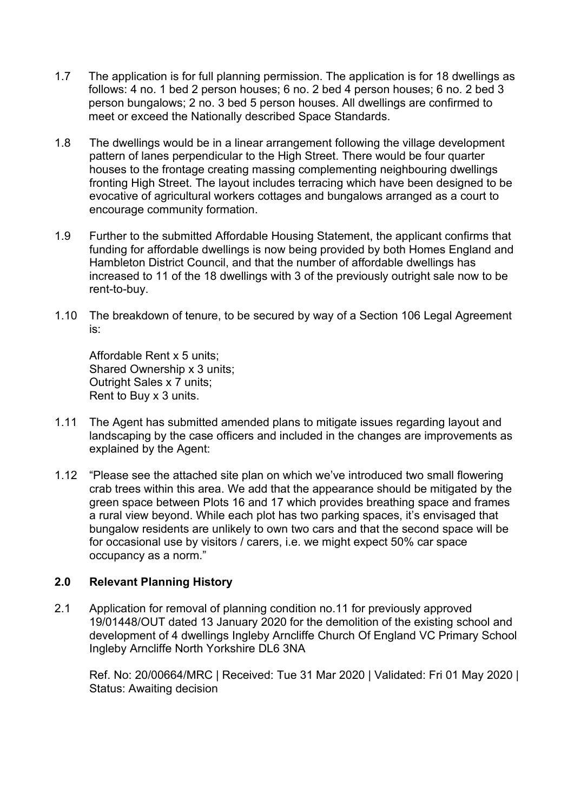- 1.7 The application is for full planning permission. The application is for 18 dwellings as follows: 4 no. 1 bed 2 person houses; 6 no. 2 bed 4 person houses; 6 no. 2 bed 3 person bungalows; 2 no. 3 bed 5 person houses. All dwellings are confirmed to meet or exceed the Nationally described Space Standards.
- 1.8 The dwellings would be in a linear arrangement following the village development pattern of lanes perpendicular to the High Street. There would be four quarter houses to the frontage creating massing complementing neighbouring dwellings fronting High Street. The layout includes terracing which have been designed to be evocative of agricultural workers cottages and bungalows arranged as a court to encourage community formation.
- 1.9 Further to the submitted Affordable Housing Statement, the applicant confirms that funding for affordable dwellings is now being provided by both Homes England and Hambleton District Council, and that the number of affordable dwellings has increased to 11 of the 18 dwellings with 3 of the previously outright sale now to be rent-to-buy.
- 1.10 The breakdown of tenure, to be secured by way of a Section 106 Legal Agreement is:

Affordable Rent x 5 units; Shared Ownership x 3 units; Outright Sales x 7 units; Rent to Buy x 3 units.

- 1.11 The Agent has submitted amended plans to mitigate issues regarding layout and landscaping by the case officers and included in the changes are improvements as explained by the Agent:
- 1.12 "Please see the attached site plan on which we've introduced two small flowering crab trees within this area. We add that the appearance should be mitigated by the green space between Plots 16 and 17 which provides breathing space and frames a rural view beyond. While each plot has two parking spaces, it's envisaged that bungalow residents are unlikely to own two cars and that the second space will be for occasional use by visitors / carers, i.e. we might expect 50% car space occupancy as a norm."

# **2.0 Relevant Planning History**

2.1 Application for removal of planning condition no.11 for previously approved 19/01448/OUT dated 13 January 2020 for the demolition of the existing school and development of 4 dwellings Ingleby Arncliffe Church Of England VC Primary School Ingleby Arncliffe North Yorkshire DL6 3NA

Ref. No: 20/00664/MRC | Received: Tue 31 Mar 2020 | Validated: Fri 01 May 2020 | Status: Awaiting decision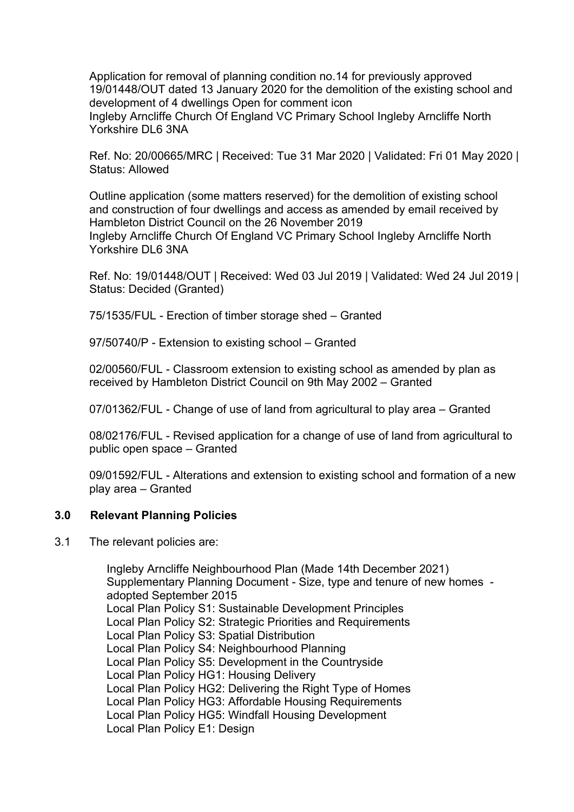Application for removal of planning condition no.14 for previously approved 19/01448/OUT dated 13 January 2020 for the demolition of the existing school and development of 4 dwellings Open for comment icon Ingleby Arncliffe Church Of England VC Primary School Ingleby Arncliffe North Yorkshire DL6 3NA

Ref. No: 20/00665/MRC | Received: Tue 31 Mar 2020 | Validated: Fri 01 May 2020 | Status: Allowed

Outline application (some matters reserved) for the demolition of existing school and construction of four dwellings and access as amended by email received by Hambleton District Council on the 26 November 2019 Ingleby Arncliffe Church Of England VC Primary School Ingleby Arncliffe North Yorkshire DL6 3NA

Ref. No: 19/01448/OUT | Received: Wed 03 Jul 2019 | Validated: Wed 24 Jul 2019 | Status: Decided (Granted)

75/1535/FUL - Erection of timber storage shed – Granted

97/50740/P - Extension to existing school – Granted

02/00560/FUL - Classroom extension to existing school as amended by plan as received by Hambleton District Council on 9th May 2002 – Granted

07/01362/FUL - Change of use of land from agricultural to play area – Granted

08/02176/FUL - Revised application for a change of use of land from agricultural to public open space – Granted

09/01592/FUL - Alterations and extension to existing school and formation of a new play area – Granted

#### **3.0 Relevant Planning Policies**

3.1 The relevant policies are:

Ingleby Arncliffe Neighbourhood Plan (Made 14th December 2021) Supplementary Planning Document - Size, type and tenure of new homes adopted September 2015 Local Plan Policy S1: Sustainable Development Principles Local Plan Policy S2: Strategic Priorities and Requirements Local Plan Policy S3: Spatial Distribution Local Plan Policy S4: Neighbourhood Planning Local Plan Policy S5: Development in the Countryside Local Plan Policy HG1: Housing Delivery Local Plan Policy HG2: Delivering the Right Type of Homes Local Plan Policy HG3: Affordable Housing Requirements Local Plan Policy HG5: Windfall Housing Development Local Plan Policy E1: Design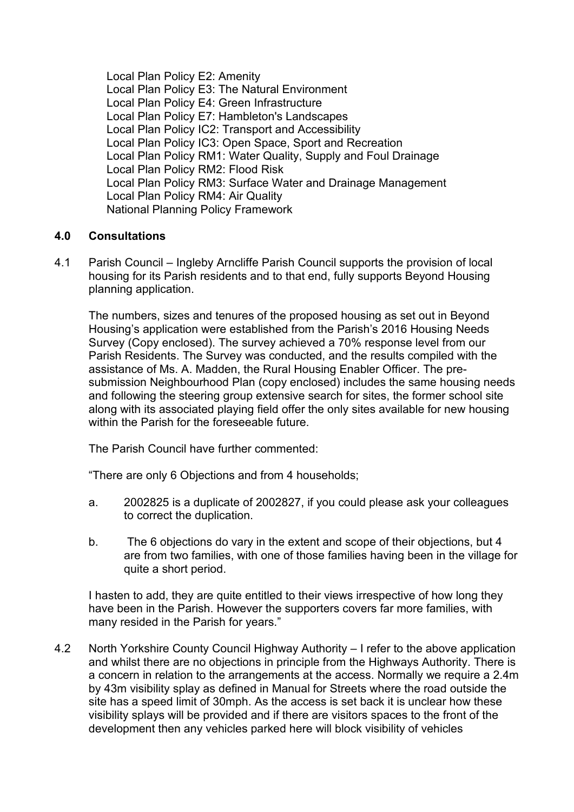Local Plan Policy E2: Amenity Local Plan Policy E3: The Natural Environment Local Plan Policy E4: Green Infrastructure Local Plan Policy E7: Hambleton's Landscapes Local Plan Policy IC2: Transport and Accessibility Local Plan Policy IC3: Open Space, Sport and Recreation Local Plan Policy RM1: Water Quality, Supply and Foul Drainage Local Plan Policy RM2: Flood Risk Local Plan Policy RM3: Surface Water and Drainage Management Local Plan Policy RM4: Air Quality National Planning Policy Framework

### **4.0 Consultations**

4.1 Parish Council – Ingleby Arncliffe Parish Council supports the provision of local housing for its Parish residents and to that end, fully supports Beyond Housing planning application.

The numbers, sizes and tenures of the proposed housing as set out in Beyond Housing's application were established from the Parish's 2016 Housing Needs Survey (Copy enclosed). The survey achieved a 70% response level from our Parish Residents. The Survey was conducted, and the results compiled with the assistance of Ms. A. Madden, the Rural Housing Enabler Officer. The presubmission Neighbourhood Plan (copy enclosed) includes the same housing needs and following the steering group extensive search for sites, the former school site along with its associated playing field offer the only sites available for new housing within the Parish for the foreseeable future.

The Parish Council have further commented:

"There are only 6 Objections and from 4 households;

- a. 2002825 is a duplicate of 2002827, if you could please ask your colleagues to correct the duplication.
- b. The 6 objections do vary in the extent and scope of their objections, but 4 are from two families, with one of those families having been in the village for quite a short period.

I hasten to add, they are quite entitled to their views irrespective of how long they have been in the Parish. However the supporters covers far more families, with many resided in the Parish for years."

4.2 North Yorkshire County Council Highway Authority – I refer to the above application and whilst there are no objections in principle from the Highways Authority. There is a concern in relation to the arrangements at the access. Normally we require a 2.4m by 43m visibility splay as defined in Manual for Streets where the road outside the site has a speed limit of 30mph. As the access is set back it is unclear how these visibility splays will be provided and if there are visitors spaces to the front of the development then any vehicles parked here will block visibility of vehicles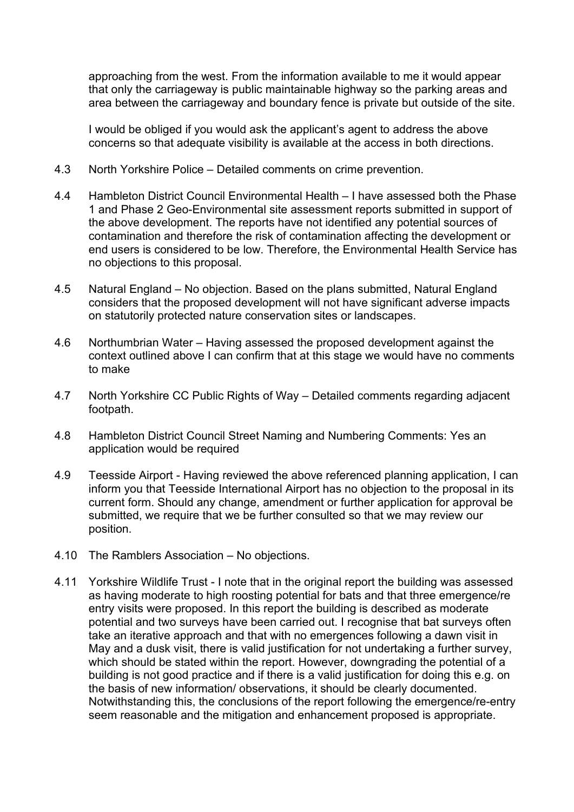approaching from the west. From the information available to me it would appear that only the carriageway is public maintainable highway so the parking areas and area between the carriageway and boundary fence is private but outside of the site.

I would be obliged if you would ask the applicant's agent to address the above concerns so that adequate visibility is available at the access in both directions.

- 4.3 North Yorkshire Police Detailed comments on crime prevention.
- 4.4 Hambleton District Council Environmental Health I have assessed both the Phase 1 and Phase 2 Geo-Environmental site assessment reports submitted in support of the above development. The reports have not identified any potential sources of contamination and therefore the risk of contamination affecting the development or end users is considered to be low. Therefore, the Environmental Health Service has no objections to this proposal.
- 4.5 Natural England No objection. Based on the plans submitted, Natural England considers that the proposed development will not have significant adverse impacts on statutorily protected nature conservation sites or landscapes.
- 4.6 Northumbrian Water Having assessed the proposed development against the context outlined above I can confirm that at this stage we would have no comments to make
- 4.7 North Yorkshire CC Public Rights of Way Detailed comments regarding adjacent footpath.
- 4.8 Hambleton District Council Street Naming and Numbering Comments: Yes an application would be required
- 4.9 Teesside Airport Having reviewed the above referenced planning application, I can inform you that Teesside International Airport has no objection to the proposal in its current form. Should any change, amendment or further application for approval be submitted, we require that we be further consulted so that we may review our position.
- 4.10 The Ramblers Association No objections.
- 4.11 Yorkshire Wildlife Trust I note that in the original report the building was assessed as having moderate to high roosting potential for bats and that three emergence/re entry visits were proposed. In this report the building is described as moderate potential and two surveys have been carried out. I recognise that bat surveys often take an iterative approach and that with no emergences following a dawn visit in May and a dusk visit, there is valid justification for not undertaking a further survey, which should be stated within the report. However, downgrading the potential of a building is not good practice and if there is a valid justification for doing this e.g. on the basis of new information/ observations, it should be clearly documented. Notwithstanding this, the conclusions of the report following the emergence/re-entry seem reasonable and the mitigation and enhancement proposed is appropriate.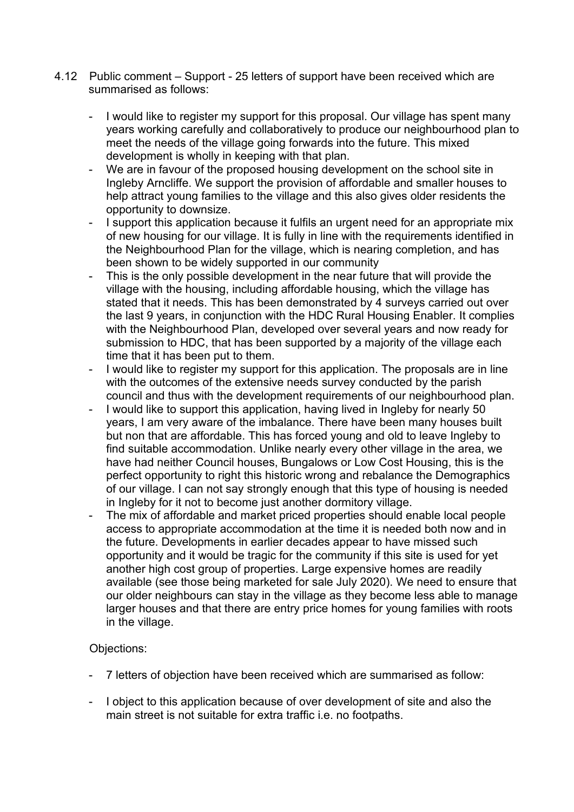- 4.12 Public comment Support 25 letters of support have been received which are summarised as follows:
	- I would like to register my support for this proposal. Our village has spent many years working carefully and collaboratively to produce our neighbourhood plan to meet the needs of the village going forwards into the future. This mixed development is wholly in keeping with that plan.
	- We are in favour of the proposed housing development on the school site in Ingleby Arncliffe. We support the provision of affordable and smaller houses to help attract young families to the village and this also gives older residents the opportunity to downsize.
	- I support this application because it fulfils an urgent need for an appropriate mix of new housing for our village. It is fully in line with the requirements identified in the Neighbourhood Plan for the village, which is nearing completion, and has been shown to be widely supported in our community
	- This is the only possible development in the near future that will provide the village with the housing, including affordable housing, which the village has stated that it needs. This has been demonstrated by 4 surveys carried out over the last 9 years, in conjunction with the HDC Rural Housing Enabler. It complies with the Neighbourhood Plan, developed over several years and now ready for submission to HDC, that has been supported by a majority of the village each time that it has been put to them.
	- I would like to register my support for this application. The proposals are in line with the outcomes of the extensive needs survey conducted by the parish council and thus with the development requirements of our neighbourhood plan.
	- I would like to support this application, having lived in Ingleby for nearly 50 years, I am very aware of the imbalance. There have been many houses built but non that are affordable. This has forced young and old to leave Ingleby to find suitable accommodation. Unlike nearly every other village in the area, we have had neither Council houses, Bungalows or Low Cost Housing, this is the perfect opportunity to right this historic wrong and rebalance the Demographics of our village. I can not say strongly enough that this type of housing is needed in Ingleby for it not to become just another dormitory village.
	- The mix of affordable and market priced properties should enable local people access to appropriate accommodation at the time it is needed both now and in the future. Developments in earlier decades appear to have missed such opportunity and it would be tragic for the community if this site is used for yet another high cost group of properties. Large expensive homes are readily available (see those being marketed for sale July 2020). We need to ensure that our older neighbours can stay in the village as they become less able to manage larger houses and that there are entry price homes for young families with roots in the village.

# Objections:

- 7 letters of objection have been received which are summarised as follow:
- I object to this application because of over development of site and also the main street is not suitable for extra traffic i.e. no footpaths.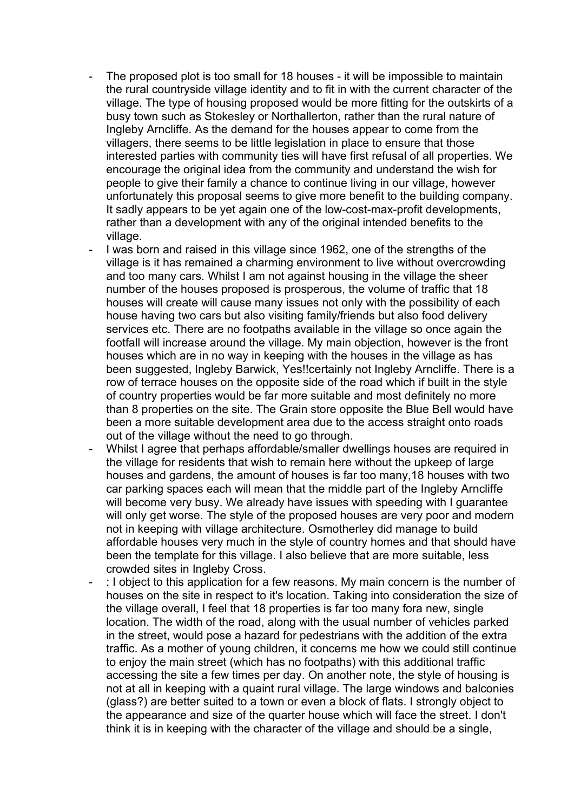- The proposed plot is too small for 18 houses it will be impossible to maintain the rural countryside village identity and to fit in with the current character of the village. The type of housing proposed would be more fitting for the outskirts of a busy town such as Stokesley or Northallerton, rather than the rural nature of Ingleby Arncliffe. As the demand for the houses appear to come from the villagers, there seems to be little legislation in place to ensure that those interested parties with community ties will have first refusal of all properties. We encourage the original idea from the community and understand the wish for people to give their family a chance to continue living in our village, however unfortunately this proposal seems to give more benefit to the building company. It sadly appears to be yet again one of the low-cost-max-profit developments, rather than a development with any of the original intended benefits to the village.
- I was born and raised in this village since 1962, one of the strengths of the village is it has remained a charming environment to live without overcrowding and too many cars. Whilst I am not against housing in the village the sheer number of the houses proposed is prosperous, the volume of traffic that 18 houses will create will cause many issues not only with the possibility of each house having two cars but also visiting family/friends but also food delivery services etc. There are no footpaths available in the village so once again the footfall will increase around the village. My main objection, however is the front houses which are in no way in keeping with the houses in the village as has been suggested, Ingleby Barwick, Yes!!certainly not Ingleby Arncliffe. There is a row of terrace houses on the opposite side of the road which if built in the style of country properties would be far more suitable and most definitely no more than 8 properties on the site. The Grain store opposite the Blue Bell would have been a more suitable development area due to the access straight onto roads out of the village without the need to go through.
- Whilst I agree that perhaps affordable/smaller dwellings houses are required in the village for residents that wish to remain here without the upkeep of large houses and gardens, the amount of houses is far too many,18 houses with two car parking spaces each will mean that the middle part of the Ingleby Arncliffe will become very busy. We already have issues with speeding with I guarantee will only get worse. The style of the proposed houses are very poor and modern not in keeping with village architecture. Osmotherley did manage to build affordable houses very much in the style of country homes and that should have been the template for this village. I also believe that are more suitable, less crowded sites in Ingleby Cross.
- : I object to this application for a few reasons. My main concern is the number of houses on the site in respect to it's location. Taking into consideration the size of the village overall, I feel that 18 properties is far too many fora new, single location. The width of the road, along with the usual number of vehicles parked in the street, would pose a hazard for pedestrians with the addition of the extra traffic. As a mother of young children, it concerns me how we could still continue to enjoy the main street (which has no footpaths) with this additional traffic accessing the site a few times per day. On another note, the style of housing is not at all in keeping with a quaint rural village. The large windows and balconies (glass?) are better suited to a town or even a block of flats. I strongly object to the appearance and size of the quarter house which will face the street. I don't think it is in keeping with the character of the village and should be a single,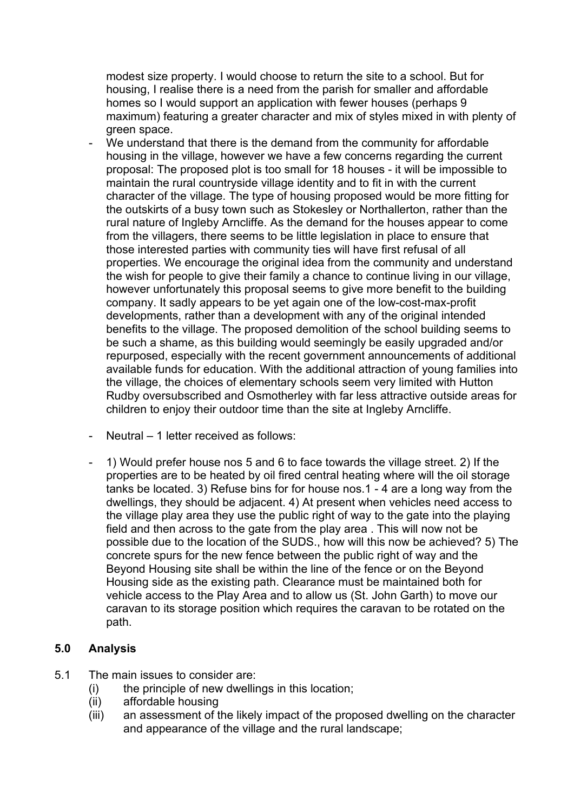modest size property. I would choose to return the site to a school. But for housing, I realise there is a need from the parish for smaller and affordable homes so I would support an application with fewer houses (perhaps 9 maximum) featuring a greater character and mix of styles mixed in with plenty of green space.

- We understand that there is the demand from the community for affordable housing in the village, however we have a few concerns regarding the current proposal: The proposed plot is too small for 18 houses - it will be impossible to maintain the rural countryside village identity and to fit in with the current character of the village. The type of housing proposed would be more fitting for the outskirts of a busy town such as Stokesley or Northallerton, rather than the rural nature of Ingleby Arncliffe. As the demand for the houses appear to come from the villagers, there seems to be little legislation in place to ensure that those interested parties with community ties will have first refusal of all properties. We encourage the original idea from the community and understand the wish for people to give their family a chance to continue living in our village, however unfortunately this proposal seems to give more benefit to the building company. It sadly appears to be yet again one of the low-cost-max-profit developments, rather than a development with any of the original intended benefits to the village. The proposed demolition of the school building seems to be such a shame, as this building would seemingly be easily upgraded and/or repurposed, especially with the recent government announcements of additional available funds for education. With the additional attraction of young families into the village, the choices of elementary schools seem very limited with Hutton Rudby oversubscribed and Osmotherley with far less attractive outside areas for children to enjoy their outdoor time than the site at Ingleby Arncliffe.
- Neutral 1 letter received as follows:
- 1) Would prefer house nos 5 and 6 to face towards the village street. 2) If the properties are to be heated by oil fired central heating where will the oil storage tanks be located. 3) Refuse bins for for house nos.1 - 4 are a long way from the dwellings, they should be adjacent. 4) At present when vehicles need access to the village play area they use the public right of way to the gate into the playing field and then across to the gate from the play area . This will now not be possible due to the location of the SUDS., how will this now be achieved? 5) The concrete spurs for the new fence between the public right of way and the Beyond Housing site shall be within the line of the fence or on the Beyond Housing side as the existing path. Clearance must be maintained both for vehicle access to the Play Area and to allow us (St. John Garth) to move our caravan to its storage position which requires the caravan to be rotated on the path.

#### **5.0 Analysis**

- 5.1 The main issues to consider are:
	- (i) the principle of new dwellings in this location;
	- (ii) affordable housing
	- (iii) an assessment of the likely impact of the proposed dwelling on the character and appearance of the village and the rural landscape;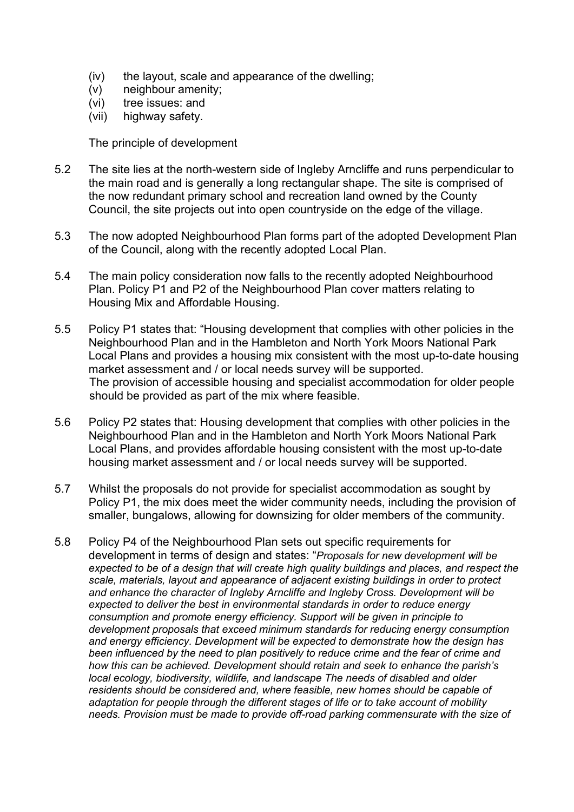- (iv) the layout, scale and appearance of the dwelling;
- (v) neighbour amenity;
- (vi) tree issues: and
- (vii) highway safety.

The principle of development

- 5.2 The site lies at the north-western side of Ingleby Arncliffe and runs perpendicular to the main road and is generally a long rectangular shape. The site is comprised of the now redundant primary school and recreation land owned by the County Council, the site projects out into open countryside on the edge of the village.
- 5.3 The now adopted Neighbourhood Plan forms part of the adopted Development Plan of the Council, along with the recently adopted Local Plan.
- 5.4 The main policy consideration now falls to the recently adopted Neighbourhood Plan. Policy P1 and P2 of the Neighbourhood Plan cover matters relating to Housing Mix and Affordable Housing.
- 5.5 Policy P1 states that: "Housing development that complies with other policies in the Neighbourhood Plan and in the Hambleton and North York Moors National Park Local Plans and provides a housing mix consistent with the most up-to-date housing market assessment and / or local needs survey will be supported. The provision of accessible housing and specialist accommodation for older people should be provided as part of the mix where feasible.
- 5.6 Policy P2 states that: Housing development that complies with other policies in the Neighbourhood Plan and in the Hambleton and North York Moors National Park Local Plans, and provides affordable housing consistent with the most up-to-date housing market assessment and / or local needs survey will be supported.
- 5.7 Whilst the proposals do not provide for specialist accommodation as sought by Policy P1, the mix does meet the wider community needs, including the provision of smaller, bungalows, allowing for downsizing for older members of the community.
- 5.8 Policy P4 of the Neighbourhood Plan sets out specific requirements for development in terms of design and states: "*Proposals for new development will be expected to be of a design that will create high quality buildings and places, and respect the scale, materials, layout and appearance of adjacent existing buildings in order to protect and enhance the character of Ingleby Arncliffe and Ingleby Cross. Development will be expected to deliver the best in environmental standards in order to reduce energy consumption and promote energy efficiency. Support will be given in principle to development proposals that exceed minimum standards for reducing energy consumption and energy efficiency. Development will be expected to demonstrate how the design has been influenced by the need to plan positively to reduce crime and the fear of crime and how this can be achieved. Development should retain and seek to enhance the parish's local ecology, biodiversity, wildlife, and landscape The needs of disabled and older residents should be considered and, where feasible, new homes should be capable of adaptation for people through the different stages of life or to take account of mobility needs. Provision must be made to provide off-road parking commensurate with the size of*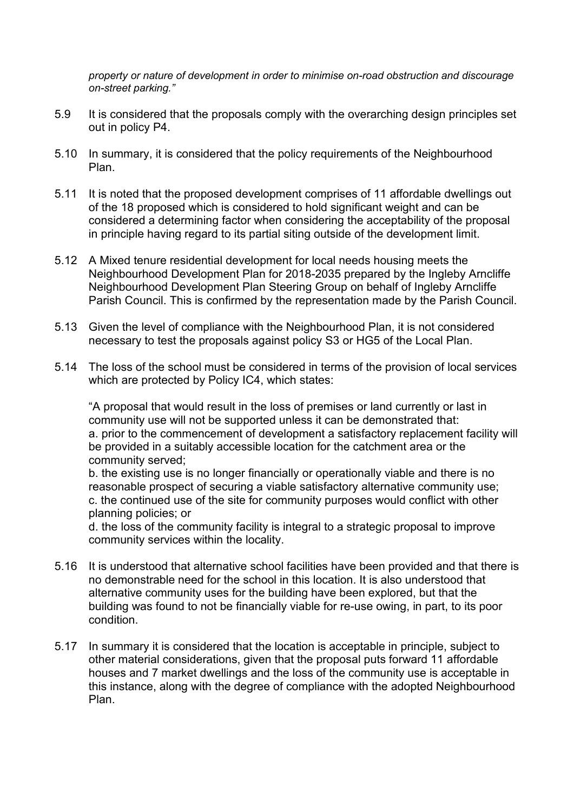*property or nature of development in order to minimise on-road obstruction and discourage on-street parking."*

- 5.9 It is considered that the proposals comply with the overarching design principles set out in policy P4.
- 5.10 In summary, it is considered that the policy requirements of the Neighbourhood Plan.
- 5.11 It is noted that the proposed development comprises of 11 affordable dwellings out of the 18 proposed which is considered to hold significant weight and can be considered a determining factor when considering the acceptability of the proposal in principle having regard to its partial siting outside of the development limit.
- 5.12 A Mixed tenure residential development for local needs housing meets the Neighbourhood Development Plan for 2018-2035 prepared by the Ingleby Arncliffe Neighbourhood Development Plan Steering Group on behalf of Ingleby Arncliffe Parish Council. This is confirmed by the representation made by the Parish Council.
- 5.13 Given the level of compliance with the Neighbourhood Plan, it is not considered necessary to test the proposals against policy S3 or HG5 of the Local Plan.
- 5.14 The loss of the school must be considered in terms of the provision of local services which are protected by Policy IC4, which states:

"A proposal that would result in the loss of premises or land currently or last in community use will not be supported unless it can be demonstrated that: a. prior to the commencement of development a satisfactory replacement facility will be provided in a suitably accessible location for the catchment area or the community served;

b. the existing use is no longer financially or operationally viable and there is no reasonable prospect of securing a viable satisfactory alternative community use; c. the continued use of the site for community purposes would conflict with other planning policies; or

d. the loss of the community facility is integral to a strategic proposal to improve community services within the locality.

- 5.16 It is understood that alternative school facilities have been provided and that there is no demonstrable need for the school in this location. It is also understood that alternative community uses for the building have been explored, but that the building was found to not be financially viable for re-use owing, in part, to its poor condition.
- 5.17 In summary it is considered that the location is acceptable in principle, subject to other material considerations, given that the proposal puts forward 11 affordable houses and 7 market dwellings and the loss of the community use is acceptable in this instance, along with the degree of compliance with the adopted Neighbourhood Plan.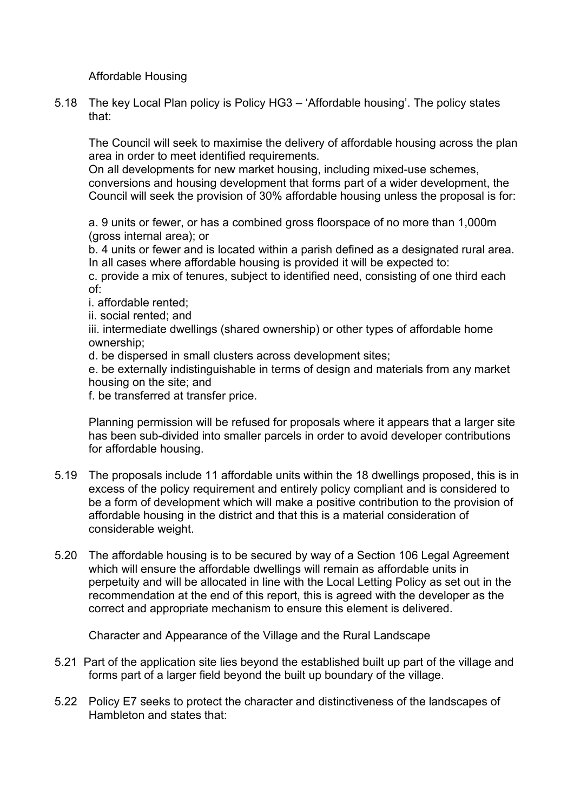Affordable Housing

5.18 The key Local Plan policy is Policy HG3 – 'Affordable housing'. The policy states that:

The Council will seek to maximise the delivery of affordable housing across the plan area in order to meet identified requirements.

On all developments for new market housing, including mixed-use schemes, conversions and housing development that forms part of a wider development, the Council will seek the provision of 30% affordable housing unless the proposal is for:

a. 9 units or fewer, or has a combined gross floorspace of no more than 1,000m (gross internal area); or

b. 4 units or fewer and is located within a parish defined as a designated rural area. In all cases where affordable housing is provided it will be expected to:

c. provide a mix of tenures, subject to identified need, consisting of one third each of:

i. affordable rented;

ii. social rented; and

iii. intermediate dwellings (shared ownership) or other types of affordable home ownership;

d. be dispersed in small clusters across development sites;

e. be externally indistinguishable in terms of design and materials from any market housing on the site; and

f. be transferred at transfer price.

Planning permission will be refused for proposals where it appears that a larger site has been sub-divided into smaller parcels in order to avoid developer contributions for affordable housing.

- 5.19 The proposals include 11 affordable units within the 18 dwellings proposed, this is in excess of the policy requirement and entirely policy compliant and is considered to be a form of development which will make a positive contribution to the provision of affordable housing in the district and that this is a material consideration of considerable weight.
- 5.20 The affordable housing is to be secured by way of a Section 106 Legal Agreement which will ensure the affordable dwellings will remain as affordable units in perpetuity and will be allocated in line with the Local Letting Policy as set out in the recommendation at the end of this report, this is agreed with the developer as the correct and appropriate mechanism to ensure this element is delivered.

Character and Appearance of the Village and the Rural Landscape

- 5.21 Part of the application site lies beyond the established built up part of the village and forms part of a larger field beyond the built up boundary of the village.
- 5.22 Policy E7 seeks to protect the character and distinctiveness of the landscapes of Hambleton and states that: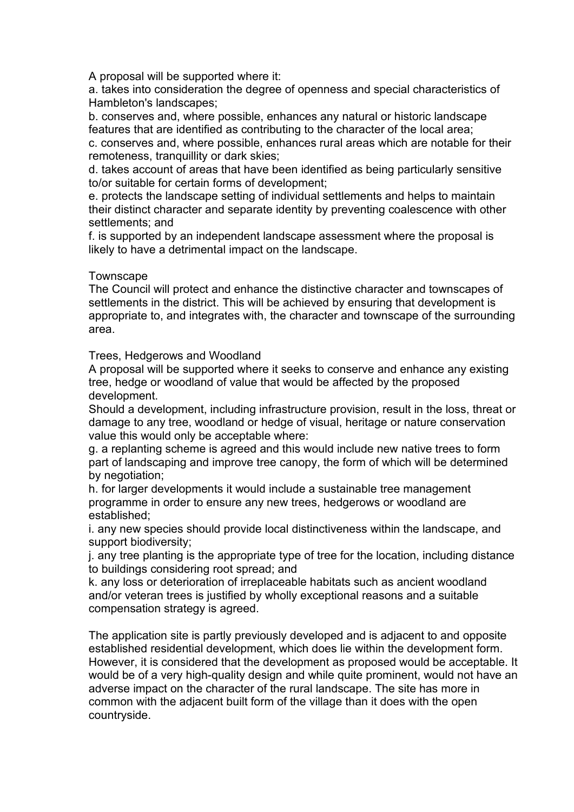A proposal will be supported where it:

a. takes into consideration the degree of openness and special characteristics of Hambleton's landscapes;

b. conserves and, where possible, enhances any natural or historic landscape features that are identified as contributing to the character of the local area; c. conserves and, where possible, enhances rural areas which are notable for their remoteness, tranquillity or dark skies;

d. takes account of areas that have been identified as being particularly sensitive to/or suitable for certain forms of development;

e. protects the landscape setting of individual settlements and helps to maintain their distinct character and separate identity by preventing coalescence with other settlements; and

f. is supported by an independent landscape assessment where the proposal is likely to have a detrimental impact on the landscape.

#### **Townscape**

The Council will protect and enhance the distinctive character and townscapes of settlements in the district. This will be achieved by ensuring that development is appropriate to, and integrates with, the character and townscape of the surrounding area.

Trees, Hedgerows and Woodland

A proposal will be supported where it seeks to conserve and enhance any existing tree, hedge or woodland of value that would be affected by the proposed development.

Should a development, including infrastructure provision, result in the loss, threat or damage to any tree, woodland or hedge of visual, heritage or nature conservation value this would only be acceptable where:

g. a replanting scheme is agreed and this would include new native trees to form part of landscaping and improve tree canopy, the form of which will be determined by negotiation;

h. for larger developments it would include a sustainable tree management programme in order to ensure any new trees, hedgerows or woodland are established;

i. any new species should provide local distinctiveness within the landscape, and support biodiversity;

j. any tree planting is the appropriate type of tree for the location, including distance to buildings considering root spread; and

k. any loss or deterioration of irreplaceable habitats such as ancient woodland and/or veteran trees is justified by wholly exceptional reasons and a suitable compensation strategy is agreed.

The application site is partly previously developed and is adjacent to and opposite established residential development, which does lie within the development form. However, it is considered that the development as proposed would be acceptable. It would be of a very high-quality design and while quite prominent, would not have an adverse impact on the character of the rural landscape. The site has more in common with the adjacent built form of the village than it does with the open countryside.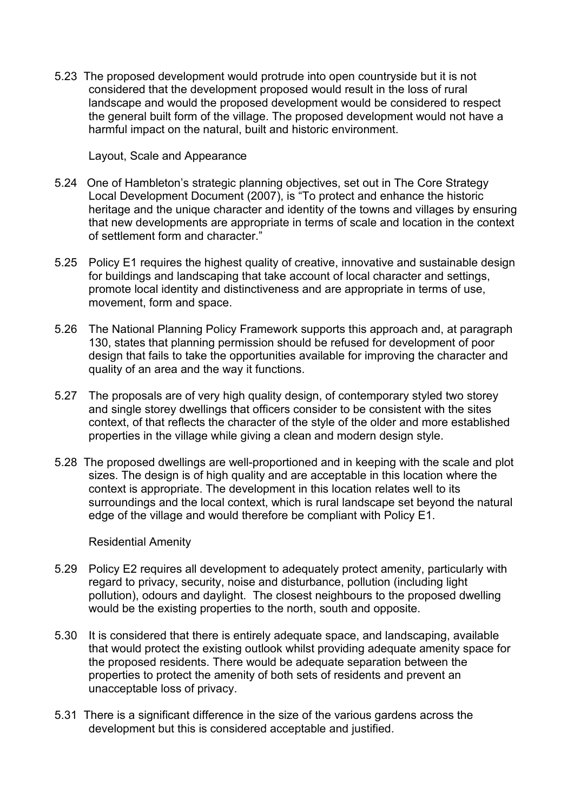5.23 The proposed development would protrude into open countryside but it is not considered that the development proposed would result in the loss of rural landscape and would the proposed development would be considered to respect the general built form of the village. The proposed development would not have a harmful impact on the natural, built and historic environment.

Layout, Scale and Appearance

- 5.24 One of Hambleton's strategic planning objectives, set out in The Core Strategy Local Development Document (2007), is "To protect and enhance the historic heritage and the unique character and identity of the towns and villages by ensuring that new developments are appropriate in terms of scale and location in the context of settlement form and character."
- 5.25 Policy E1 requires the highest quality of creative, innovative and sustainable design for buildings and landscaping that take account of local character and settings, promote local identity and distinctiveness and are appropriate in terms of use, movement, form and space.
- 5.26 The National Planning Policy Framework supports this approach and, at paragraph 130, states that planning permission should be refused for development of poor design that fails to take the opportunities available for improving the character and quality of an area and the way it functions.
- 5.27 The proposals are of very high quality design, of contemporary styled two storey and single storey dwellings that officers consider to be consistent with the sites context, of that reflects the character of the style of the older and more established properties in the village while giving a clean and modern design style.
- 5.28 The proposed dwellings are well-proportioned and in keeping with the scale and plot sizes. The design is of high quality and are acceptable in this location where the context is appropriate. The development in this location relates well to its surroundings and the local context, which is rural landscape set beyond the natural edge of the village and would therefore be compliant with Policy E1.

Residential Amenity

- 5.29 Policy E2 requires all development to adequately protect amenity, particularly with regard to privacy, security, noise and disturbance, pollution (including light pollution), odours and daylight. The closest neighbours to the proposed dwelling would be the existing properties to the north, south and opposite.
- 5.30 It is considered that there is entirely adequate space, and landscaping, available that would protect the existing outlook whilst providing adequate amenity space for the proposed residents. There would be adequate separation between the properties to protect the amenity of both sets of residents and prevent an unacceptable loss of privacy.
- 5.31 There is a significant difference in the size of the various gardens across the development but this is considered acceptable and justified.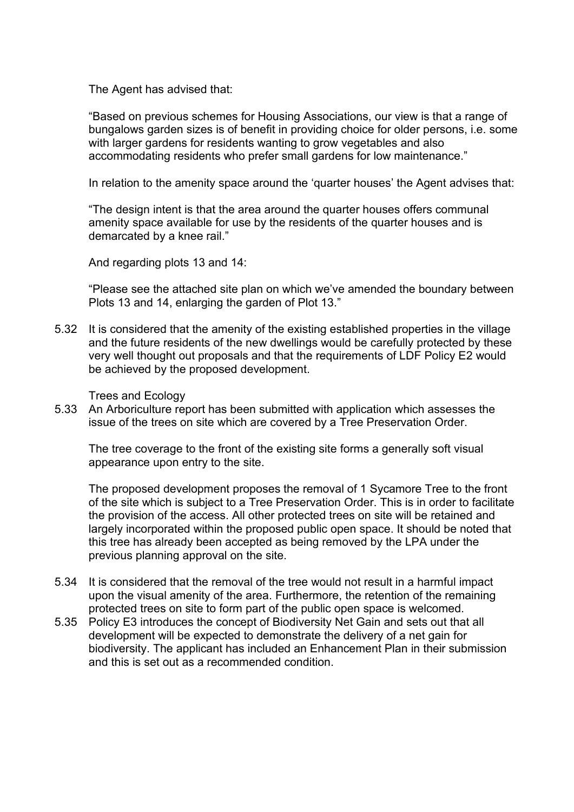The Agent has advised that:

"Based on previous schemes for Housing Associations, our view is that a range of bungalows garden sizes is of benefit in providing choice for older persons, i.e. some with larger gardens for residents wanting to grow vegetables and also accommodating residents who prefer small gardens for low maintenance."

In relation to the amenity space around the 'quarter houses' the Agent advises that:

"The design intent is that the area around the quarter houses offers communal amenity space available for use by the residents of the quarter houses and is demarcated by a knee rail."

And regarding plots 13 and 14:

"Please see the attached site plan on which we've amended the boundary between Plots 13 and 14, enlarging the garden of Plot 13."

5.32 It is considered that the amenity of the existing established properties in the village and the future residents of the new dwellings would be carefully protected by these very well thought out proposals and that the requirements of LDF Policy E2 would be achieved by the proposed development.

#### Trees and Ecology

5.33 An Arboriculture report has been submitted with application which assesses the issue of the trees on site which are covered by a Tree Preservation Order.

The tree coverage to the front of the existing site forms a generally soft visual appearance upon entry to the site.

The proposed development proposes the removal of 1 Sycamore Tree to the front of the site which is subject to a Tree Preservation Order. This is in order to facilitate the provision of the access. All other protected trees on site will be retained and largely incorporated within the proposed public open space. It should be noted that this tree has already been accepted as being removed by the LPA under the previous planning approval on the site.

- 5.34 It is considered that the removal of the tree would not result in a harmful impact upon the visual amenity of the area. Furthermore, the retention of the remaining protected trees on site to form part of the public open space is welcomed.
- 5.35 Policy E3 introduces the concept of Biodiversity Net Gain and sets out that all development will be expected to demonstrate the delivery of a net gain for biodiversity. The applicant has included an Enhancement Plan in their submission and this is set out as a recommended condition.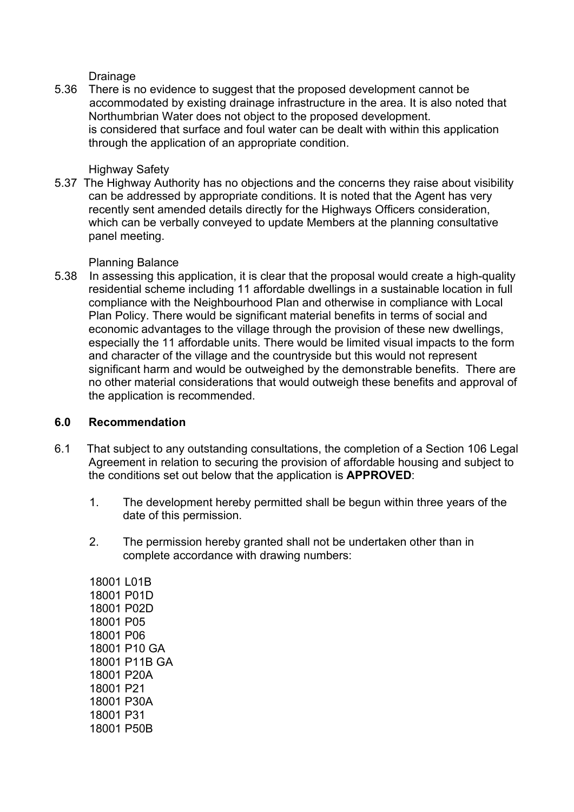Drainage

5.36 There is no evidence to suggest that the proposed development cannot be accommodated by existing drainage infrastructure in the area. It is also noted that Northumbrian Water does not object to the proposed development. is considered that surface and foul water can be dealt with within this application through the application of an appropriate condition.

### Highway Safety

5.37 The Highway Authority has no objections and the concerns they raise about visibility can be addressed by appropriate conditions. It is noted that the Agent has very recently sent amended details directly for the Highways Officers consideration, which can be verbally conveyed to update Members at the planning consultative panel meeting.

# Planning Balance

5.38 In assessing this application, it is clear that the proposal would create a high-quality residential scheme including 11 affordable dwellings in a sustainable location in full compliance with the Neighbourhood Plan and otherwise in compliance with Local Plan Policy. There would be significant material benefits in terms of social and economic advantages to the village through the provision of these new dwellings, especially the 11 affordable units. There would be limited visual impacts to the form and character of the village and the countryside but this would not represent significant harm and would be outweighed by the demonstrable benefits. There are no other material considerations that would outweigh these benefits and approval of the application is recommended.

#### **6.0 Recommendation**

- 6.1 That subject to any outstanding consultations, the completion of a Section 106 Legal Agreement in relation to securing the provision of affordable housing and subject to the conditions set out below that the application is **APPROVED**:
	- 1. The development hereby permitted shall be begun within three years of the date of this permission.
	- 2. The permission hereby granted shall not be undertaken other than in complete accordance with drawing numbers:

18001 L01B 18001 P01D 18001 P02D 18001 P05 18001 P06 18001 P10 GA 18001 P11B GA 18001 P20A 18001 P21 18001 P30A 18001 P31 18001 P50B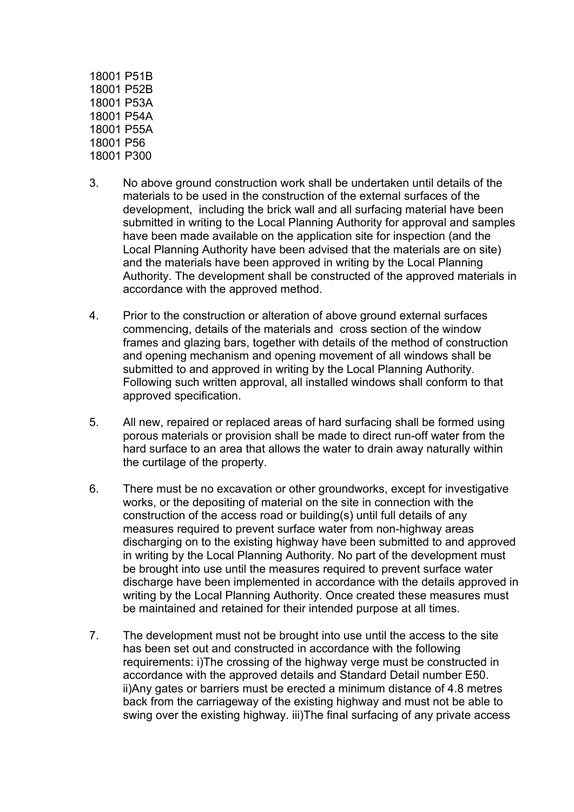18001 P51B 18001 P52B 18001 P53A 18001 P54A 18001 P55A 18001 P56 18001 P300

- 3. No above ground construction work shall be undertaken until details of the materials to be used in the construction of the external surfaces of the development, including the brick wall and all surfacing material have been submitted in writing to the Local Planning Authority for approval and samples have been made available on the application site for inspection (and the Local Planning Authority have been advised that the materials are on site) and the materials have been approved in writing by the Local Planning Authority. The development shall be constructed of the approved materials in accordance with the approved method.
- 4. Prior to the construction or alteration of above ground external surfaces commencing, details of the materials and cross section of the window frames and glazing bars, together with details of the method of construction and opening mechanism and opening movement of all windows shall be submitted to and approved in writing by the Local Planning Authority. Following such written approval, all installed windows shall conform to that approved specification.
- 5. All new, repaired or replaced areas of hard surfacing shall be formed using porous materials or provision shall be made to direct run-off water from the hard surface to an area that allows the water to drain away naturally within the curtilage of the property.
- 6. There must be no excavation or other groundworks, except for investigative works, or the depositing of material on the site in connection with the construction of the access road or building(s) until full details of any measures required to prevent surface water from non-highway areas discharging on to the existing highway have been submitted to and approved in writing by the Local Planning Authority. No part of the development must be brought into use until the measures required to prevent surface water discharge have been implemented in accordance with the details approved in writing by the Local Planning Authority. Once created these measures must be maintained and retained for their intended purpose at all times.
- 7. The development must not be brought into use until the access to the site has been set out and constructed in accordance with the following requirements: i)The crossing of the highway verge must be constructed in accordance with the approved details and Standard Detail number E50. ii)Any gates or barriers must be erected a minimum distance of 4.8 metres back from the carriageway of the existing highway and must not be able to swing over the existing highway. iii)The final surfacing of any private access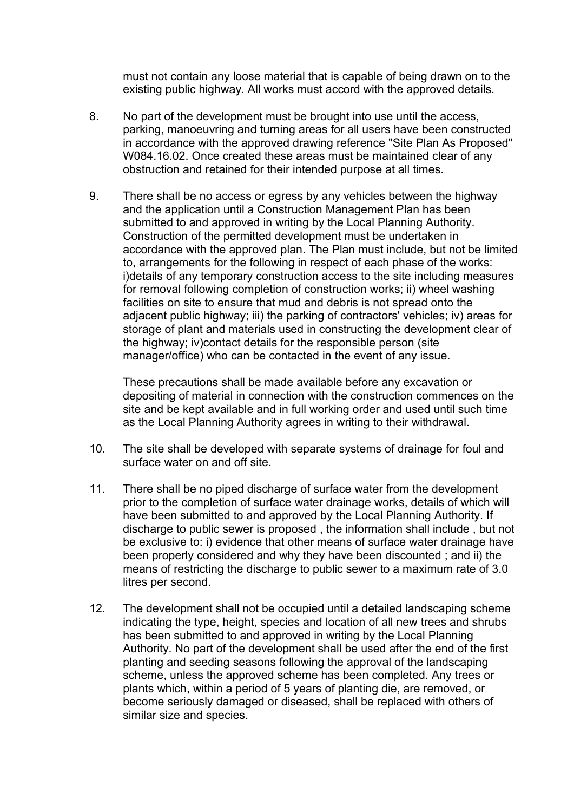must not contain any loose material that is capable of being drawn on to the existing public highway. All works must accord with the approved details.

- 8. No part of the development must be brought into use until the access, parking, manoeuvring and turning areas for all users have been constructed in accordance with the approved drawing reference "Site Plan As Proposed" W084.16.02. Once created these areas must be maintained clear of any obstruction and retained for their intended purpose at all times.
- 9. There shall be no access or egress by any vehicles between the highway and the application until a Construction Management Plan has been submitted to and approved in writing by the Local Planning Authority. Construction of the permitted development must be undertaken in accordance with the approved plan. The Plan must include, but not be limited to, arrangements for the following in respect of each phase of the works: i)details of any temporary construction access to the site including measures for removal following completion of construction works; ii) wheel washing facilities on site to ensure that mud and debris is not spread onto the adjacent public highway; iii) the parking of contractors' vehicles; iv) areas for storage of plant and materials used in constructing the development clear of the highway; iv)contact details for the responsible person (site manager/office) who can be contacted in the event of any issue.

These precautions shall be made available before any excavation or depositing of material in connection with the construction commences on the site and be kept available and in full working order and used until such time as the Local Planning Authority agrees in writing to their withdrawal.

- 10. The site shall be developed with separate systems of drainage for foul and surface water on and off site.
- 11. There shall be no piped discharge of surface water from the development prior to the completion of surface water drainage works, details of which will have been submitted to and approved by the Local Planning Authority. If discharge to public sewer is proposed , the information shall include , but not be exclusive to: i) evidence that other means of surface water drainage have been properly considered and why they have been discounted ; and ii) the means of restricting the discharge to public sewer to a maximum rate of 3.0 litres per second.
- 12. The development shall not be occupied until a detailed landscaping scheme indicating the type, height, species and location of all new trees and shrubs has been submitted to and approved in writing by the Local Planning Authority. No part of the development shall be used after the end of the first planting and seeding seasons following the approval of the landscaping scheme, unless the approved scheme has been completed. Any trees or plants which, within a period of 5 years of planting die, are removed, or become seriously damaged or diseased, shall be replaced with others of similar size and species.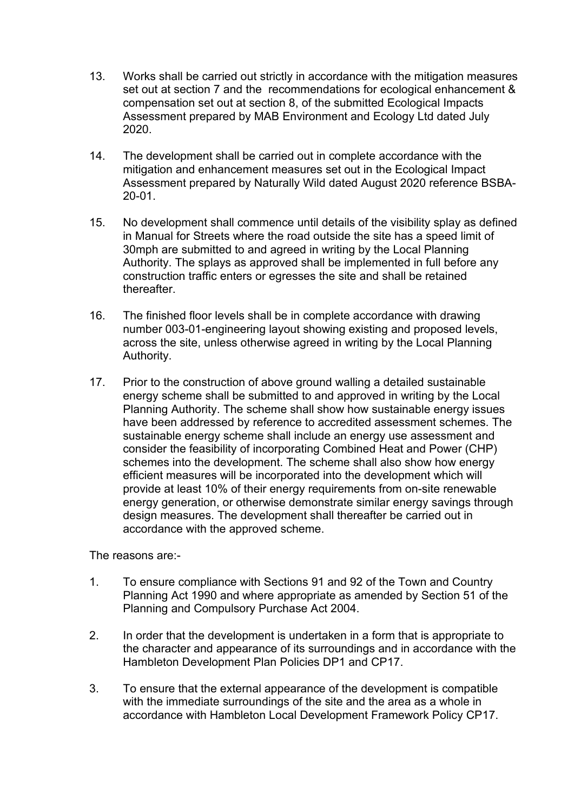- 13. Works shall be carried out strictly in accordance with the mitigation measures set out at section 7 and the recommendations for ecological enhancement & compensation set out at section 8, of the submitted Ecological Impacts Assessment prepared by MAB Environment and Ecology Ltd dated July 2020.
- 14. The development shall be carried out in complete accordance with the mitigation and enhancement measures set out in the Ecological Impact Assessment prepared by Naturally Wild dated August 2020 reference BSBA-20-01.
- 15. No development shall commence until details of the visibility splay as defined in Manual for Streets where the road outside the site has a speed limit of 30mph are submitted to and agreed in writing by the Local Planning Authority. The splays as approved shall be implemented in full before any construction traffic enters or egresses the site and shall be retained thereafter.
- 16. The finished floor levels shall be in complete accordance with drawing number 003-01-engineering layout showing existing and proposed levels, across the site, unless otherwise agreed in writing by the Local Planning Authority.
- 17. Prior to the construction of above ground walling a detailed sustainable energy scheme shall be submitted to and approved in writing by the Local Planning Authority. The scheme shall show how sustainable energy issues have been addressed by reference to accredited assessment schemes. The sustainable energy scheme shall include an energy use assessment and consider the feasibility of incorporating Combined Heat and Power (CHP) schemes into the development. The scheme shall also show how energy efficient measures will be incorporated into the development which will provide at least 10% of their energy requirements from on-site renewable energy generation, or otherwise demonstrate similar energy savings through design measures. The development shall thereafter be carried out in accordance with the approved scheme.

The reasons are:-

- 1. To ensure compliance with Sections 91 and 92 of the Town and Country Planning Act 1990 and where appropriate as amended by Section 51 of the Planning and Compulsory Purchase Act 2004.
- 2. In order that the development is undertaken in a form that is appropriate to the character and appearance of its surroundings and in accordance with the Hambleton Development Plan Policies DP1 and CP17.
- 3. To ensure that the external appearance of the development is compatible with the immediate surroundings of the site and the area as a whole in accordance with Hambleton Local Development Framework Policy CP17.